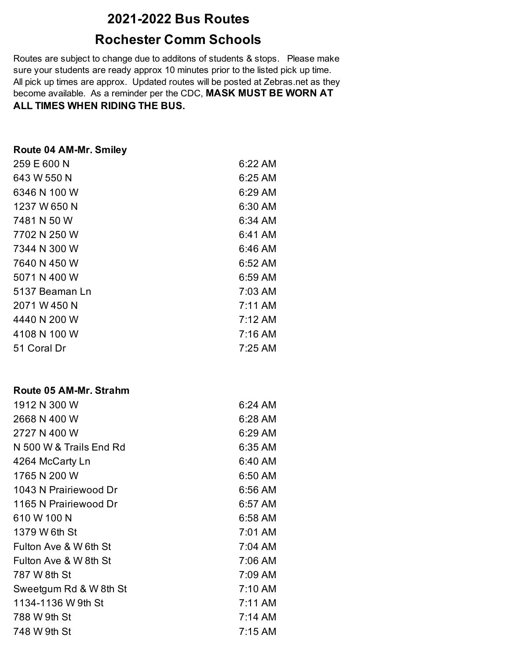# **2021-2022 Bus Routes**

# **Rochester Comm Schools**

Routes are subject to change due to additons of students & stops. Please make sure your students are ready approx 10 minutes prior to the listed pick up time. All pick up times are approx. Updated routes will be posted at Zebras.net as they become available. As a reminder per the CDC, **MASK MUST BE WORN AT ALL TIMES WHEN RIDING THE BUS.**

| Route 04 AM-Mr. Smiley |           |
|------------------------|-----------|
| 259 E 600 N            | 6:22 AM   |
| 643 W 550 N            | $6:25$ AM |
| 6346 N 100 W           | 6:29 AM   |
| 1237 W 650 N           | 6:30 AM   |
| 7481 N 50 W            | 6:34 AM   |
| 7702 N 250 W           | 6:41 AM   |
| 7344 N 300 W           | 6:46 AM   |
| 7640 N 450 W           | 6:52 AM   |
| 5071 N 400 W           | 6:59 AM   |
| 5137 Beaman Ln         | 7:03 AM   |
| 2071 W 450 N           | $7:11$ AM |
| 4440 N 200 W           | 7:12 AM   |
| 4108 N 100 W           | $7:16$ AM |
| 51 Coral Dr            | 7:25 AM   |

#### **Route 05 AM-Mr. Strahm**

| 1912 N 300 W            | 6:24 AM   |
|-------------------------|-----------|
| 2668 N 400 W            | 6:28 AM   |
| 2727 N 400 W            | 6:29 AM   |
| N 500 W & Trails End Rd | 6:35 AM   |
| 4264 McCarty Ln         | 6:40 AM   |
| 1765 N 200 W            | 6:50 AM   |
| 1043 N Prairiewood Dr   | 6:56 AM   |
| 1165 N Prairiewood Dr   | 6:57 AM   |
| 610 W 100 N             | 6:58 AM   |
| 1379 W 6th St           | 7:01 AM   |
| Fulton Ave & W 6th St   | 7:04 AM   |
| Fulton Ave & W 8th St   | 7:06 AM   |
| 787 W 8th St            | 7:09 AM   |
| Sweetgum Rd & W 8th St  | 7:10 AM   |
| 1134-1136 W 9th St      | $7:11$ AM |
| 788 W 9th St            | $7:14$ AM |
| 748 W 9th St            | 7:15 AM   |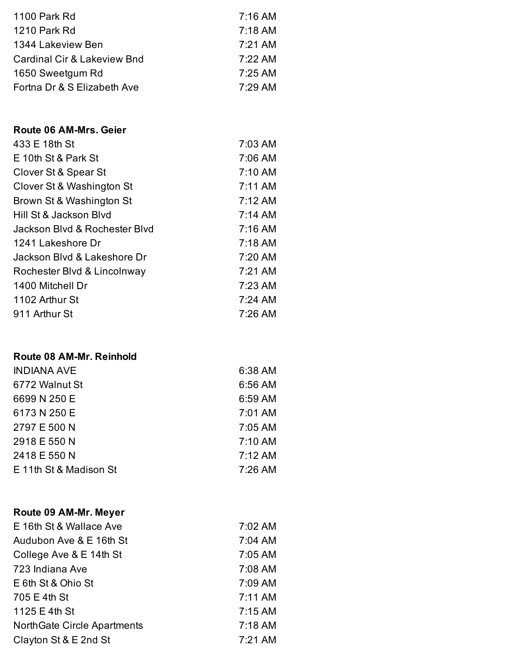| 1100 Park Rd                           | $7:16$ AM |
|----------------------------------------|-----------|
| 1210 Park Rd                           | $7:18$ AM |
| 1344 Lakeview Ben                      | $7:21$ AM |
| <b>Cardinal Cir &amp; Lakeview Bnd</b> | 7:22 AM   |
| 1650 Sweetgum Rd                       | $7:25$ AM |
| Fortna Dr & S Elizabeth Ave            | 7:29 AM   |

### **Route 06 AM-Mrs. Geier**

| 433 E 18th St                 | 7:03 AM   |
|-------------------------------|-----------|
| E 10th St & Park St           | 7:06 AM   |
| Clover St & Spear St          | 7:10 AM   |
| Clover St & Washington St     | $7:11$ AM |
| Brown St & Washington St      | 7:12 AM   |
| Hill St & Jackson Blyd        | 7:14 AM   |
| Jackson Blyd & Rochester Blyd | $7:16$ AM |
| 1241 Lakeshore Dr             | $7:18$ AM |
| Jackson Blvd & Lakeshore Dr   | 7:20 AM   |
| Rochester Blvd & Lincolnway   | 7:21 AM   |
| 1400 Mitchell Dr              | 7:23 AM   |
| 1102 Arthur St                | $7:24$ AM |
| 911 Arthur St                 | 7:26 AM   |

### **Route 08 AM-Mr. Reinhold**

| <b>INDIANA AVE</b>     | 6:38 AM             |
|------------------------|---------------------|
| 6772 Walnut St         | 6:56 AM             |
| 6699 N 250 E           | 6:59 AM             |
| 6173 N 250 E           | 7:01 AM             |
| 2797 E 500 N           | 7:05 AM             |
| 2918 E 550 N           | 7:10 AM             |
| 2418 E 550 N           | $7:12 \, \text{AM}$ |
| E 11th St & Madison St | 7:26 AM             |

### **Route 09 AM-Mr. Meyer**

| E 16th St & Wallace Ave     | 7:02 AM   |
|-----------------------------|-----------|
| Audubon Ave & E 16th St     | 7:04 AM   |
| College Ave & E 14th St     | 7:05 AM   |
| 723 Indiana Ave             | 7:08 AM   |
| E 6th St & Ohio St          | 7:09 AM   |
| 705 E 4th St                | 7:11 AM   |
| 1125 E 4th St               | $7:15$ AM |
| NorthGate Circle Apartments | $7:18$ AM |
| Clayton St & E 2nd St       | 7:21 AM   |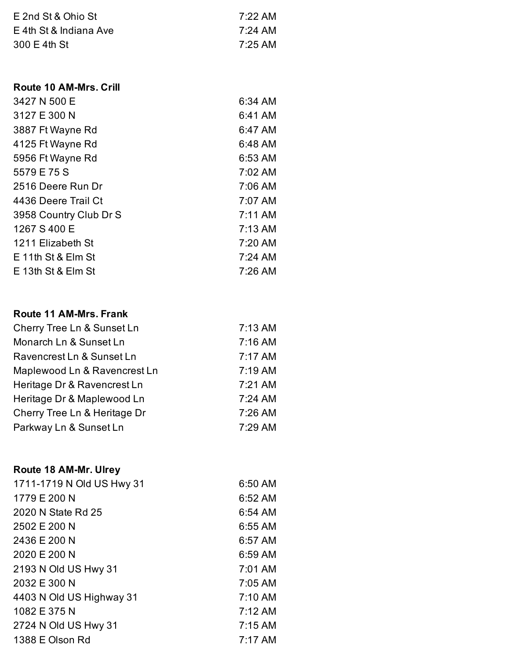| E 2nd St & Ohio St     | 7:22 AM |
|------------------------|---------|
| E 4th St & Indiana Ave | 7:24 AM |
| 300 E 4th St           | 7:25 AM |

### **Route 10 AM-Mrs. Crill**

| 3427 N 500 E           | 6:34 AM   |
|------------------------|-----------|
| 3127 E 300 N           | 6:41 AM   |
| 3887 Ft Wayne Rd       | 6:47 AM   |
| 4125 Ft Wayne Rd       | 6:48 AM   |
| 5956 Ft Wayne Rd       | 6:53 AM   |
| 5579 E 75 S            | 7:02 AM   |
| 2516 Deere Run Dr      | 7:06 AM   |
| 4436 Deere Trail Ct    | 7:07 AM   |
| 3958 Country Club Dr S | 7:11 AM   |
| 1267 S 400 E           | $7:13$ AM |
| 1211 Elizabeth St      | 7:20 AM   |
| $E$ 11th St & Elm St   | $7:24$ AM |
| $E$ 13th St & Elm St   | 7:26 AM   |

## **Route 11 AM-Mrs. Frank**

| Cherry Tree Ln & Sunset Ln   | 7:13 AM |
|------------------------------|---------|
| Monarch Ln & Sunset Ln       | 7:16 AM |
| Ravencrest Ln & Sunset Ln    | 7:17 AM |
| Maplewood Ln & Ravencrest Ln | 7:19 AM |
| Heritage Dr & Ravencrest Ln  | 7:21 AM |
| Heritage Dr & Maplewood Ln   | 7:24 AM |
| Cherry Tree Ln & Heritage Dr | 7:26 AM |
| Parkway Ln & Sunset Ln       | 7:29 AM |

# **Route 18 AM-Mr. Ulrey**

| 1711-1719 N Old US Hwy 31 | 6:50 AM             |
|---------------------------|---------------------|
| 1779 E 200 N              | 6:52 AM             |
| 2020 N State Rd 25        | 6:54 AM             |
| 2502 E 200 N              | 6:55 AM             |
| 2436 E 200 N              | 6:57 AM             |
| 2020 E 200 N              | 6:59 AM             |
| 2193 N Old US Hwy 31      | 7:01 AM             |
| 2032 E 300 N              | 7:05 AM             |
| 4403 N Old US Highway 31  | 7:10 AM             |
| 1082 E 375 N              | $7:12 \, \text{AM}$ |
| 2724 N Old US Hwy 31      | $7:15$ AM           |
| 1388 E Olson Rd           | 7:17 AM             |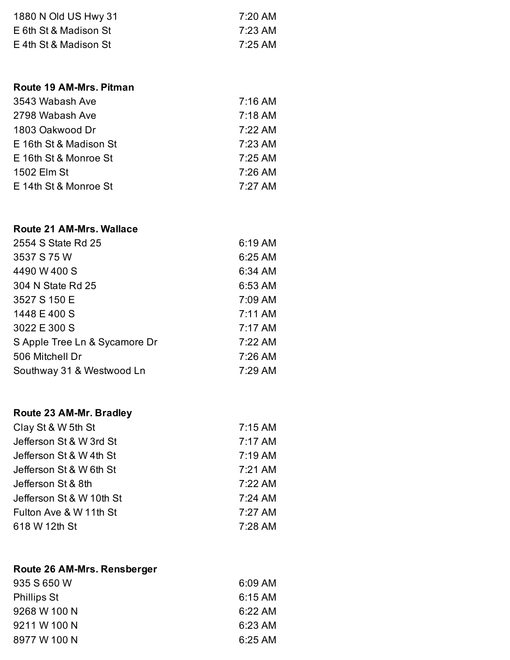| 1880 N Old US Hwy 31  | 7:20 AM |
|-----------------------|---------|
| E 6th St & Madison St | 7:23 AM |
| E 4th St & Madison St | 7:25 AM |

### **Route 19 AM-Mrs. Pitman**

| 3543 Wabash Ave        | $7:16$ AM |
|------------------------|-----------|
| 2798 Wabash Ave        | $7:18$ AM |
| 1803 Oakwood Dr        | 7:22 AM   |
| E 16th St & Madison St | 7:23 AM   |
| E 16th St & Monroe St  | 7:25 AM   |
| 1502 Elm St            | $7:26$ AM |
| E 14th St & Monroe St  | 7:27 AM   |

### **Route 21 AM-Mrs. Wallace**

| 6:19 AM   |
|-----------|
| 6:25 AM   |
| 6:34 AM   |
| 6:53 AM   |
| 7:09 AM   |
| 7:11 AM   |
| $7:17$ AM |
| 7:22 AM   |
| 7:26 AM   |
| 7:29 AM   |
|           |

# **Route 23 AM-Mr. Bradley**

| Clay St & W 5th St       | $7:15$ AM |
|--------------------------|-----------|
| Jefferson St & W 3rd St  | 7:17 AM   |
| Jefferson St & W 4th St  | $7:19$ AM |
| Jefferson St & W 6th St  | 7:21 AM   |
| Jefferson St & 8th       | 7:22 AM   |
| Jefferson St & W 10th St | 7:24 AM   |
| Fulton Ave & W 11th St   | 7:27 AM   |
| 618 W 12th St            | 7:28 AM   |
|                          |           |

## **Route 26 AM-Mrs. Rensberger**

| 935 S 650 W        | $6:09$ AM           |
|--------------------|---------------------|
| <b>Phillips St</b> | $6:15$ AM           |
| 9268 W 100 N       | $6:22 \, \text{AM}$ |
| 9211 W 100 N       | $6:23$ AM           |
| 8977 W 100 N       | $6:25 \, \text{AM}$ |